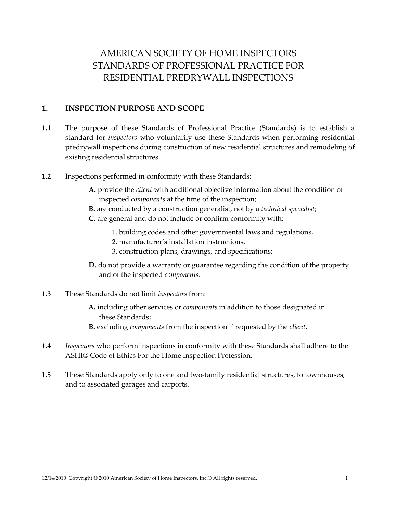# AMERICAN SOCIETY OF HOME INSPECTORS STANDARDS OF PROFESSIONAL PRACTICE FOR RESIDENTIAL PREDRYWALL INSPECTIONS

## **1. INSPECTION PURPOSE AND SCOPE**

- **1.1** The purpose of these Standards of Professional Practice (Standards) is to establish a standard for *inspectors* who voluntarily use these Standards when performing residential predrywall inspections during construction of new residential structures and remodeling of existing residential structures.
- **1.2** Inspections performed in conformity with these Standards:
	- **A.** provide the *client* with additional objective information about the condition of inspected *components* at the time of the inspection;
	- **B.** are conducted by a construction generalist, not by a *technical specialist*;
	- **C.** are general and do not include or confirm conformity with:
		- 1. building codes and other governmental laws and regulations,
		- 2. manufacturer's installation instructions,
		- 3. construction plans, drawings, and specifications;
	- **D.** do not provide a warranty or guarantee regarding the condition of the property and of the inspected *components*.
- **1.3** These Standards do not limit *inspectors* from:
	- **A.** including other services or *components* in addition to those designated in these Standards;
	- **B.** excluding *components* from the inspection if requested by the *client*.
- **1.4** *Inspectors* who perform inspections in conformity with these Standards shall adhere to the ASHI® Code of Ethics For the Home Inspection Profession.
- **1.5** These Standards apply only to one and two-family residential structures, to townhouses, and to associated garages and carports.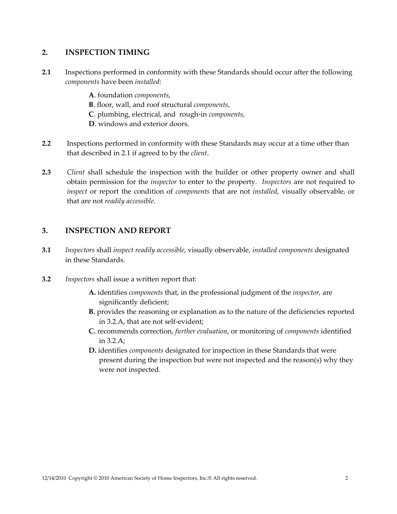## **2. INSPECTION TIMING**

- **2.1** Inspections performed in conformity with these Standards should occur after the following *components* have been *installed*:
	- **A**. foundation *components*, **B**. floor, wall, and roof structural *components*, **C**. plumbing, electrical, and rough‐in *components*, **D**. windows and exterior doors.
- **2.2** Inspections performed in conformity with these Standards may occur at a time other than that described in 2.1 if agreed to by the *client*.
- **2.3** *Client* shall schedule the inspection with the builder or other property owner and shall obtain permission for the *inspector* to enter to the property*. Inspectors* are not required to *inspect* or report the condition of *components* that are not *installed*, visually observable, or that are not *readily accessible*.

# **3. INSPECTION AND REPORT**

- **3.1** *Inspectors* shall *inspect readily accessible*, visually observable, *installed components* designated in these Standards.
- **3.2** *Inspectors* shall issue a written report that:
	- **A.** identifies *components* that, in the professional judgment of the *inspector,* are significantly deficient;
	- **B.** provides the reasoning or explanation as to the nature of the deficiencies reported in 3.2.A, that are not self‐evident;
	- **C.** recommends correction, *further evaluation*, or monitoring of *components* identified in 3.2.A;
	- **D.** identifies *components* designated for inspection in these Standards that were present during the inspection but were not inspected and the reason(s) why they were not inspected.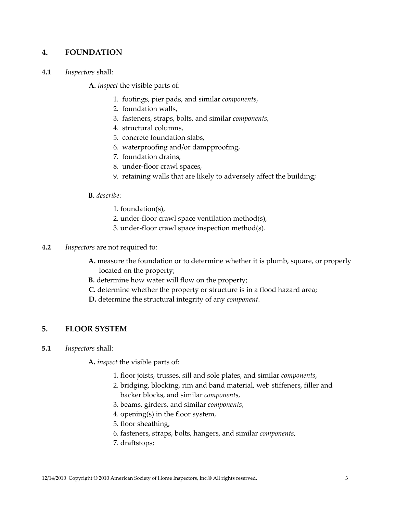# **4. FOUNDATION**

**4.1** *Inspectors* shall:

**A.** *inspect* the visible parts of:

- 1. footings, pier pads, and similar *components*,
- 2. foundation walls,
- 3. fasteners, straps, bolts, and similar *components*,
- 4. structural columns,
- 5. concrete foundation slabs,
- 6. waterproofing and/or dampproofing,
- 7. foundation drains,
- 8. under‐floor crawl spaces,
- 9. retaining walls that are likely to adversely affect the building;

#### **B.** *describe*:

- 1. foundation(s),
- 2. under‐floor crawl space ventilation method(s),
- 3. under‐floor crawl space inspection method(s).
- **4.2** *Inspectors* are not required to:
	- **A.** measure the foundation or to determine whether it is plumb, square, or properly located on the property;
	- **B.** determine how water will flow on the property;
	- **C.** determine whether the property or structure is in a flood hazard area;
	- **D.** determine the structural integrity of any *component*.

## **5. FLOOR SYSTEM**

**5.1** *Inspectors* shall:

**A.** *inspect* the visible parts of:

- 1. floor joists, trusses, sill and sole plates, and similar *components*,
- 2. bridging, blocking, rim and band material, web stiffeners, filler and backer blocks, and similar *components*,
- 3. beams, girders, and similar *components*,
- 4. opening(s) in the floor system,
- 5. floor sheathing,
- 6. fasteners, straps, bolts, hangers, and similar *components*,
- 7. draftstops;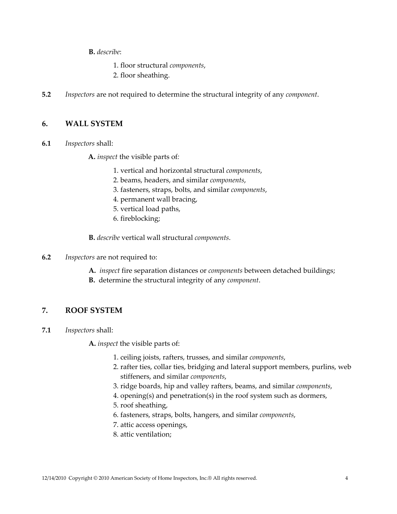**B.** *describe*:

- 1. floor structural *components*,
- 2. floor sheathing.
- **5.2** *Inspectors* are not required to determine the structural integrity of any *component*.

## **6. WALL SYSTEM**

**6.1** *Inspectors* shall:

**A.** *inspect* the visible parts of*:*

- 1. vertical and horizontal structural *components*,
- 2. beams, headers, and similar *components*,
- 3. fasteners, straps, bolts, and similar *components*,
- 4. permanent wall bracing,
- 5. vertical load paths,
- 6. fireblocking;

**B.** *describe* vertical wall structural *components*.

- **6.2** *Inspectors* are not required to:
	- **A.** *inspect* fire separation distances or *components* between detached buildings;
	- **B.** determine the structural integrity of any *component*.

# **7. ROOF SYSTEM**

**7.1** *Inspectors* shall:

**A.** *inspect* the visible parts of:

- 1. ceiling joists, rafters, trusses, and similar *components*,
- 2. rafter ties, collar ties, bridging and lateral support members, purlins, web stiffeners, and similar *components*,
- 3. ridge boards, hip and valley rafters, beams, and similar *components*,
- 4. opening(s) and penetration(s) in the roof system such as dormers,
- 5. roof sheathing,
- 6. fasteners, straps, bolts, hangers, and similar *components*,
- 7. attic access openings,
- 8. attic ventilation;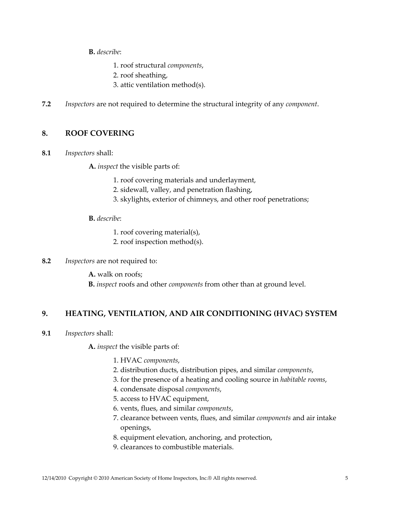**B.** *describe*:

- 1. roof structural *components*,
- 2. roof sheathing,
- 3. attic ventilation method(s).
- **7.2** *Inspectors* are not required to determine the structural integrity of any *component*.

# **8. ROOF COVERING**

**8.1** *Inspectors* shall:

**A.** *inspect* the visible parts of:

- 1. roof covering materials and underlayment,
- 2. sidewall, valley, and penetration flashing,
- 3. skylights, exterior of chimneys, and other roof penetrations;

## **B.** *describe*:

- 1. roof covering material(s),
- 2. roof inspection method(s).
- **8.2** *Inspectors* are not required to:
	- **A.** walk on roofs;
	- **B.** *inspect* roofs and other *components* from other than at ground level.

# **9. HEATING, VENTILATION, AND AIR CONDITIONING (HVAC) SYSTEM**

**9.1** *Inspectors* shall:

**A.** *inspect* the visible parts of:

- 1. HVAC *components*,
- 2. distribution ducts, distribution pipes, and similar *components*,
- 3. for the presence of a heating and cooling source in *habitable rooms*,
- 4. condensate disposal *components*,
- 5. access to HVAC equipment,
- 6. vents, flues, and similar *components*,
- 7. clearance between vents, flues, and similar *components* and air intake openings,
- 8. equipment elevation, anchoring, and protection,
- 9. clearances to combustible materials.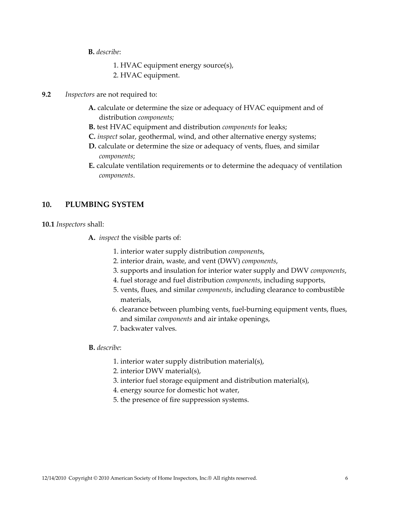- **B.** *describe*:
	- 1. HVAC equipment energy source(s),
	- 2. HVAC equipment.
- **9.2** *Inspectors* are not required to:
	- **A.** calculate or determine the size or adequacy of HVAC equipment and of distribution *components;*
	- **B.** test HVAC equipment and distribution *components* for leaks;
	- **C.** *inspect* solar, geothermal, wind, and other alternative energy systems;
	- **D.** calculate or determine the size or adequacy of vents, flues, and similar *components*;
	- **E.** calculate ventilation requirements or to determine the adequacy of ventilation *components*.

#### **10. PLUMBING SYSTEM**

**10.1** *Inspectors* shall:

- **A.** *inspect* the visible parts of:
	- 1. interior water supply distribution *component*s,
	- 2. interior drain, waste, and vent (DWV) *components*,
	- 3. supports and insulation for interior water supply and DWV *components*,
	- 4. fuel storage and fuel distribution *components*, including supports,
	- 5. vents, flues, and similar *components*, including clearance to combustible materials,
	- 6. clearance between plumbing vents, fuel‐burning equipment vents, flues, and similar *components* and air intake openings,
	- 7. backwater valves.

## **B.** *describe*:

- 1. interior water supply distribution material(s),
- 2. interior DWV material(s),
- 3. interior fuel storage equipment and distribution material(s),
- 4. energy source for domestic hot water,
- 5. the presence of fire suppression systems.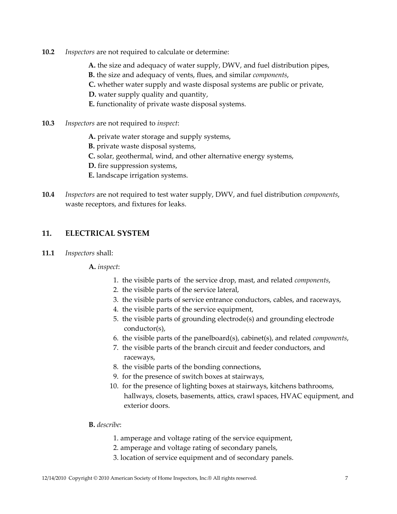- **10.2** *Inspectors* are not required to calculate or determine:
	- **A.** the size and adequacy of water supply, DWV, and fuel distribution pipes,
	- **B.** the size and adequacy of vents, flues, and similar *components*,
	- **C.** whether water supply and waste disposal systems are public or private,
	- **D.** water supply quality and quantity,
	- **E.** functionality of private waste disposal systems.
- **10.3** *Inspectors* are not required to *inspect*:
	- **A.** private water storage and supply systems,
	- **B.** private waste disposal systems,
	- **C.** solar, geothermal, wind, and other alternative energy systems,
	- **D.** fire suppression systems,
	- **E.** landscape irrigation systems.
- **10.4** *Inspectors* are not required to test water supply, DWV, and fuel distribution *components*, waste receptors, and fixtures for leaks.

# **11. ELECTRICAL SYSTEM**

**11.1** *Inspectors* shall:

#### **A.** *inspect*:

- 1. the visible parts of the service drop, mast, and related *components*,
- 2. the visible parts of the service lateral,
- 3. the visible parts of service entrance conductors, cables, and raceways,
- 4. the visible parts of the service equipment,
- 5. the visible parts of grounding electrode(s) and grounding electrode conductor(s),
- 6. the visible parts of the panelboard(s), cabinet(s), and related *components*,
- 7. the visible parts of the branch circuit and feeder conductors, and raceways,
- 8. the visible parts of the bonding connections,
- 9. for the presence of switch boxes at stairways,
- 10. for the presence of lighting boxes at stairways, kitchens bathrooms, hallways, closets, basements, attics, crawl spaces, HVAC equipment, and exterior doors.

#### **B.** *describe*:

- 1. amperage and voltage rating of the service equipment,
- 2. amperage and voltage rating of secondary panels,
- 3. location of service equipment and of secondary panels.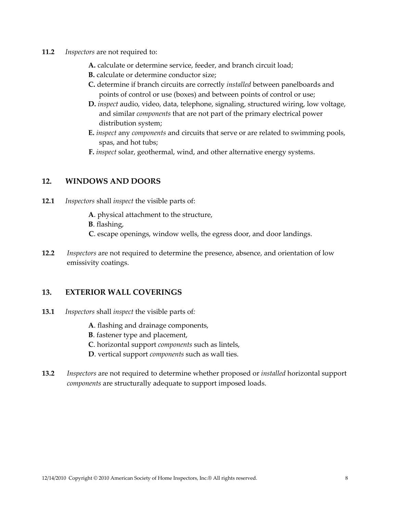- **11.2** *Inspectors* are not required to:
	- **A.** calculate or determine service, feeder, and branch circuit load;
	- **B.** calculate or determine conductor size;
	- **C.** determine if branch circuits are correctly *installed* between panelboards and points of control or use (boxes) and between points of control or use;
	- **D.** *inspect* audio, video, data, telephone, signaling, structured wiring, low voltage, and similar *components* that are not part of the primary electrical power distribution system;
	- **E.** *inspect* any *components* and circuits that serve or are related to swimming pools, spas, and hot tubs;
	- **F.** *inspect* solar, geothermal, wind, and other alternative energy systems.

## **12. WINDOWS AND DOORS**

- **12.1** *Inspectors* shall *inspect* the visible parts of:
	- **A**. physical attachment to the structure,
	- **B**. flashing,
	- **C**. escape openings, window wells, the egress door, and door landings.
- **12.2** *Inspectors* are not required to determine the presence, absence, and orientation of low emissivity coatings.

#### **13. EXTERIOR WALL COVERINGS**

- **13.1** *Inspectors* shall *inspect* the visible parts of*:*
	- **A**. flashing and drainage components,
	- **B**. fastener type and placement,
	- **C**. horizontal support *components* such as lintels,
	- **D**. vertical support *components* such as wall ties.
- **13.2** *Inspectors* are not required to determine whether proposed or *installed* horizontal support *components* are structurally adequate to support imposed loads.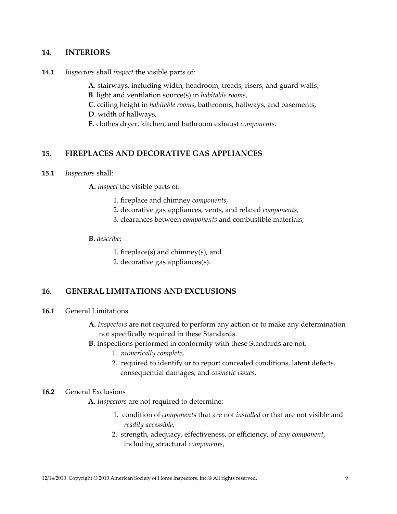## **14. INTERIORS**

**14.1** *Inspectors* shall *inspect* the visible parts of:

**A**. stairways, including width, headroom, treads, risers, and guard walls,

**B**. light and ventilation source(s) in *habitable rooms*,

**C**. ceiling height in *habitable rooms*, bathrooms, hallways, and basements,

**D**. width of hallways,

**E**. clothes dryer, kitchen, and bathroom exhaust *components*.

## **15. FIREPLACES AND DECORATIVE GAS APPLIANCES**

**15.1** *Inspectors* shall:

**A.** *inspect* the visible parts of:

- 1. fireplace and chimney *components*,
- 2. decorative gas appliances, vents, and related *components,*
- 3. clearances between *components* and combustible materials;

**B.** *describe*:

1. fireplace(s) and chimney(s), and

2. decorative gas appliances(s).

# **16. GENERAL LIMITATIONS AND EXCLUSIONS**

#### **16.1** General Limitations

- **A.** *Inspectors* are not required to perform any action or to make any determination not specifically required in these Standards.
- **B.** Inspections performed in conformity with these Standards are not:
	- 1. *numerically complete*,
	- 2. required to identify or to report concealed conditions, latent defects, consequential damages, and *cosmetic issues*.

## **16.2** General Exclusions

**A.** *Inspectors* are not required to determine:

- 1. condition of *components* that are not *installed* or that are not visible and *readily accessible,*
- 2. strength, adequacy, effectiveness, or efficiency, of any *component*, including structural *components*,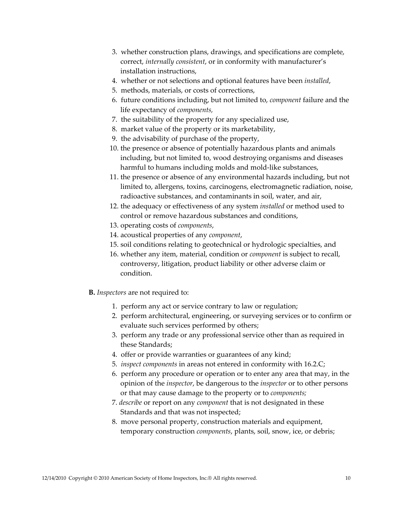- 3. whether construction plans, drawings, and specifications are complete, correct, *internally consistent*, or in conformity with manufacturer's installation instructions,
- 4. whether or not selections and optional features have been *installed*,
- 5. methods, materials, or costs of corrections,
- 6. future conditions including, but not limited to, *component* failure and the life expectancy of *components,*
- 7. the suitability of the property for any specialized use,
- 8. market value of the property or its marketability,
- 9. the advisability of purchase of the property,
- 10. the presence or absence of potentially hazardous plants and animals including, but not limited to, wood destroying organisms and diseases harmful to humans including molds and mold-like substances,
- 11. the presence or absence of any environmental hazards including, but not limited to, allergens, toxins, carcinogens, electromagnetic radiation, noise, radioactive substances, and contaminants in soil, water, and air,
- 12. the adequacy or effectiveness of any system *installed* or method used to control or remove hazardous substances and conditions,
- 13. operating costs of *components*,
- 14. acoustical properties of any *component*,
- 15. soil conditions relating to geotechnical or hydrologic specialties, and
- 16. whether any item, material, condition or *component* is subject to recall, controversy, litigation, product liability or other adverse claim or condition.
- **B.** *Inspectors* are not required to:
	- 1. perform any act or service contrary to law or regulation;
	- 2. perform architectural, engineering, or surveying services or to confirm or evaluate such services performed by others;
	- 3. perform any trade or any professional service other than as required in these Standards;
	- 4. offer or provide warranties or guarantees of any kind;
	- 5. *inspect components* in areas not entered in conformity with 16.2.C;
	- 6. perform any procedure or operation or to enter any area that may, in the opinion of the *inspector*, be dangerous to the *inspector* or to other persons or that may cause damage to the property or to *components;*
	- 7. *describe* or report on any *component* that is not designated in these Standards and that was not inspected;
	- 8. move personal property, construction materials and equipment, temporary construction *components*, plants, soil, snow, ice, or debris;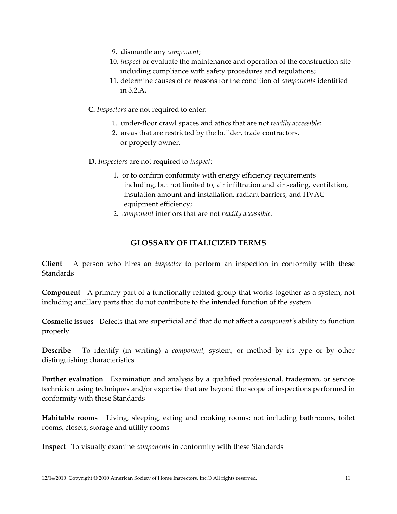- 9. dismantle any *component*;
- 10. *inspect* or evaluate the maintenance and operation of the construction site including compliance with safety procedures and regulations;
- 11. determine causes of or reasons for the condition of *components* identified in 3.2.A.

**C.** *Inspectors* are not required to enter:

- 1. under‐floor crawl spaces and attics that are not *readily accessible;*
- 2. areas that are restricted by the builder, trade contractors, or property owner.

**D.** *Inspectors* are not required to *inspect*:

- 1. or to confirm conformity with energy efficiency requirements including, but not limited to, air infiltration and air sealing, ventilation, insulation amount and installation, radiant barriers, and HVAC equipment efficiency;
- 2. *component* interiors that are not *readily accessible.*

## **GLOSSARY OF ITALICIZED TERMS**

**Client** A person who hires an *inspector* to perform an inspection in conformity with these **Standards** 

**Component** A primary part of a functionally related group that works together as a system, not including ancillary parts that do not contribute to the intended function of the system

**Cosmetic issues** Defects that are superficial and that do not affect a *component's* ability to function properly

**Describe** To identify (in writing) a *component*, system, or method by its type or by other distinguishing characteristics

**Further evaluation** Examination and analysis by a qualified professional, tradesman, or service technician using techniques and/or expertise that are beyond the scope of inspections performed in conformity with these Standards

**Habitable rooms** Living, sleeping, eating and cooking rooms; not including bathrooms, toilet rooms, closets, storage and utility rooms

**Inspect** To visually examine *components* in conformity with these Standards